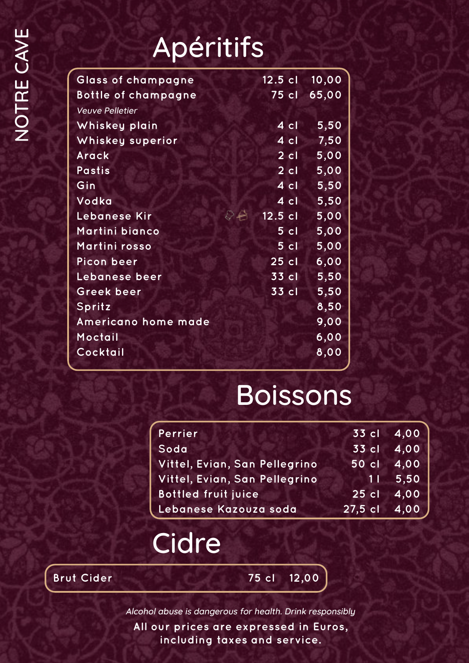### Apéritifs

| Glass of champagne     |    | $12.5$ cl            | 10,00 |
|------------------------|----|----------------------|-------|
| Bottle of champagne    |    | 75 cl                | 65,00 |
| <b>Veuve Pelletier</b> |    |                      |       |
| Whiskey plain          |    | 4 cl                 | 5,50  |
| Whiskey superior       |    | 4 cl                 | 7,50  |
| Arack                  |    | $2$ cl               | 5,00  |
| <b>Pastis</b>          |    | $2 \,$ cl            | 5,00  |
| Gin                    |    | $4$ cl               | 5,50  |
| Vodka                  |    | 4 cl                 | 5,50  |
| <u>Leb</u> anese Kir   | ౪€ | $\overline{12.5}$ cl | 5,00  |
| <u>Martini bianco</u>  |    | $5$ cl               | 5,00  |
| Martini rosso          |    | 5 <sub>cl</sub>      | 5,00  |
| <b>Picon beer</b>      |    | $25$ cl              | 6,00  |
| Lebanese beer          |    | 33 cl                | 5,50  |
| <b>Greek beer</b>      |    | 33 cl                | 5,50  |
| Spritz                 |    |                      | 8,50  |
| Americano home made    |    |                      | 9,00  |
| Moctail                |    |                      | 6,00  |
| Cocktail               |    |                      | 8,00  |
|                        |    |                      |       |

#### Boissons

| Perrier                       | 33 cl 4,00   |        |
|-------------------------------|--------------|--------|
| Soda                          | 33 cl 4,00   |        |
| Vittel, Evian, San Pellegrino | 50 cl 4,00   |        |
| Vittel, Evian, San Pellegrino |              | 115,50 |
| <b>Bottled fruit juice</b>    | 25 cl 4,00   |        |
| Lebanese Kazouza soda         | 27,5 cl 4,00 |        |

#### Cidre

**Brut Cider 75 cl 12,00**

Alcohol abuse is dangerous for health. Drink responsibly **All our prices are expressed in Euros, including taxes and service.**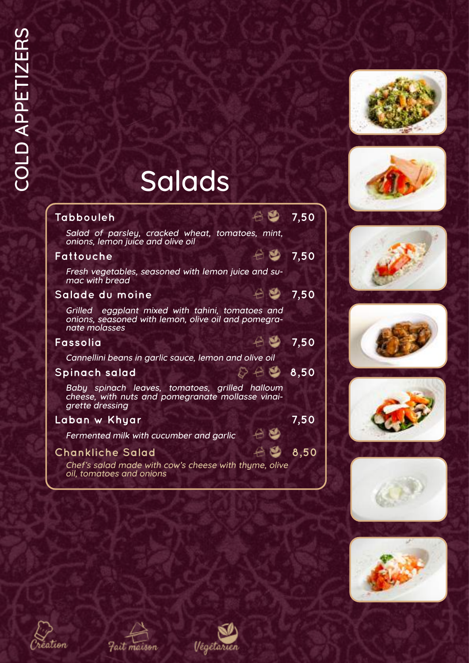



| Tabbouleh                                                                                                                | 1,50                 |
|--------------------------------------------------------------------------------------------------------------------------|----------------------|
| Salad of parsley, cracked wheat, tomatoes, mint,<br>onions, lemon juice and olive oil                                    |                      |
| Fattouche                                                                                                                | $-20$ 7,50           |
| Fresh vegetables, seasoned with lemon juice and su-<br>mac with bread                                                    |                      |
| Salade du moine                                                                                                          | 1,50                 |
| Grilled eggplant mixed with tahini, tomatoes and<br>onions, seasoned with lemon, olive oil and pomegra-<br>nate molasses |                      |
| Fassolia                                                                                                                 | $\frac{100}{2}$ 7,50 |
| Cannellini beans in garlic sauce, lemon and olive oil                                                                    |                      |
| $\odot$ $\leftarrow$ $\bullet$ 8,50<br>Spinach salad                                                                     |                      |
| Baby spinach leaves, tomatoes, grilled halloum<br>cheese, with nuts and pomegranate mollasse vinai-<br>grette dressing   |                      |
| Laban w Khyar                                                                                                            | <u>7,50</u>          |
| Fermented milk with cucumber and garlic                                                                                  |                      |
| <b>Chankliche Salad</b>                                                                                                  | 8,50                 |
| Chef's salad made with cow's cheese with thyme, olive<br>oil, tomatoes and onions                                        |                      |
|                                                                                                                          |                      |

















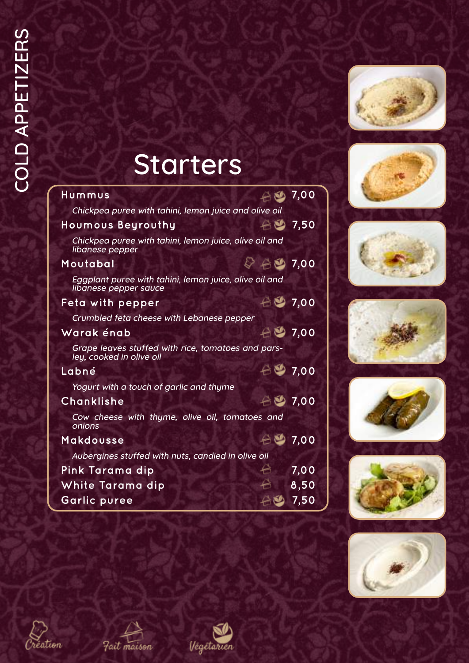



| Hummus                                                                          | $\leftrightarrow$ 80 7,00          |        |
|---------------------------------------------------------------------------------|------------------------------------|--------|
| Chickpea puree with tahini, lemon juice and olive oil                           |                                    |        |
| Houmous Beyrouthy                                                               | $\triangle$ $\bullet$ 7,50         |        |
| Chickpea puree with tahini, lemon juice, olive oil and<br>libanese pepper       |                                    |        |
| Moutabal                                                                        | $\odot$ $\rightarrow$ $\odot$ 7,00 |        |
| Eggplant puree with tahini, lemon juice, olive oil and<br>libanese pepper sauce |                                    |        |
| Feta with pepper                                                                | $\triangle$ $\bullet$ 7,00         |        |
| Crumbled feta cheese with Lebanese pepper                                       |                                    |        |
| Warak énab                                                                      | $-200$                             |        |
| Grape leaves stuffed with rice, tomatoes and pars-<br>ley, cooked in olive oil  |                                    |        |
| Labné                                                                           | $A = 7,00$                         |        |
| Yogurt with a touch of garlic and thyme                                         |                                    |        |
| Chanklishe                                                                      | $-200$                             |        |
| Cow cheese with thyme, olive oil, tomatoes and<br>onions                        |                                    |        |
| Makdousse                                                                       | $\triangle$ $\frac{30}{7,00}$      |        |
| Aubergines stuffed with nuts, candied in olive oil                              |                                    |        |
| Pink Tarama dip                                                                 |                                    | 7,00   |
| White Tarama dip                                                                |                                    | 8,50   |
| <b>Garlic puree</b>                                                             |                                    | $-250$ |

















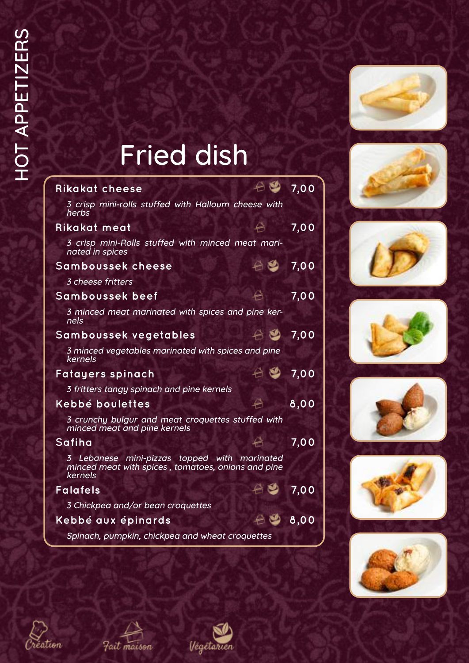

# Fried dish

| Rikakat cheese                                                                                                |    | 7,00    |
|---------------------------------------------------------------------------------------------------------------|----|---------|
| 3 crisp mini-rolls stuffed with Halloum cheese with<br>herbs                                                  |    |         |
| Rikakat meat                                                                                                  |    | 7,00    |
| 3 crisp mini-Rolls stuffed with minced meat mari-<br>nated in spices                                          |    |         |
| Samboussek cheese                                                                                             |    | 7,00    |
| 3 cheese fritters                                                                                             |    |         |
| Samboussek beef                                                                                               |    | 7,00    |
| 3 minced meat marinated with spices and pine ker-<br>nels                                                     |    |         |
| Samboussek vegetables                                                                                         | 台巴 | 7,00    |
| 3 minced vegetables marinated with spices and pine<br>kernels                                                 |    |         |
| Fatayers spinach                                                                                              |    | 7,00    |
| 3 fritters tangy spinach and pine kernels                                                                     |    |         |
| Kebbé boulettes                                                                                               |    | 8,00    |
| 3 crunchy bulgur and meat croquettes stuffed with<br>minced meat and pine kernels                             |    |         |
| Safiha                                                                                                        |    | 7,00    |
| 3 Lebanese mini-pizzas topped with marinated<br>minced meat with spices, tomatoes, onions and pine<br>kernels |    |         |
| <b>Falafels</b>                                                                                               |    | 7,00    |
| 3 Chickpea and/or bean croquettes                                                                             |    |         |
| Kebbé aux épinards                                                                                            |    | $-8,00$ |
| Spinach, pumpkin, chickpea and wheat croquettes                                                               |    |         |

















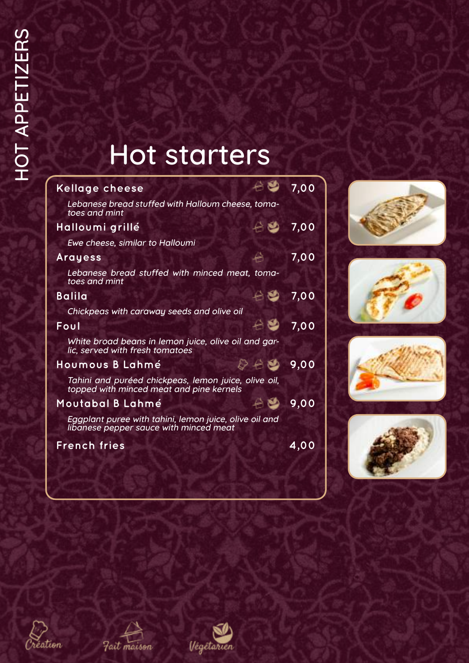### Hot starters

| Kellage cheese                                                                                   | 7,00 |
|--------------------------------------------------------------------------------------------------|------|
| Lebanese bread stuffed with Halloum cheese, toma-<br>toes and mint                               |      |
| Halloumi grillé                                                                                  | 7,00 |
| Ewe cheese, similar to Halloumi                                                                  |      |
| Arayess                                                                                          | 7,00 |
| Lebanese bread stuffed with minced meat, toma-<br>toes and mint                                  |      |
| <b>Balila</b>                                                                                    | 7,00 |
| Chickpeas with caraway seeds and olive oil                                                       |      |
| 89<br>Foul                                                                                       | 7,00 |
| White broad beans in lemon juice, olive oil and gar-<br>lic, served with fresh tomatoes          |      |
| . 49 9,00<br>Houmous B Lahmé                                                                     |      |
| Tahini and puréed chickpeas, lemon juice, olive oil,<br>topped with minced meat and pine kernels |      |
| Moutabal B Lahmé                                                                                 | 9,00 |
| Eggplant puree with tahini, lemon juice, olive oil and<br>libanese pepper sauce with minced meat |      |
| <b>French fries</b>                                                                              | 4,00 |
|                                                                                                  |      |













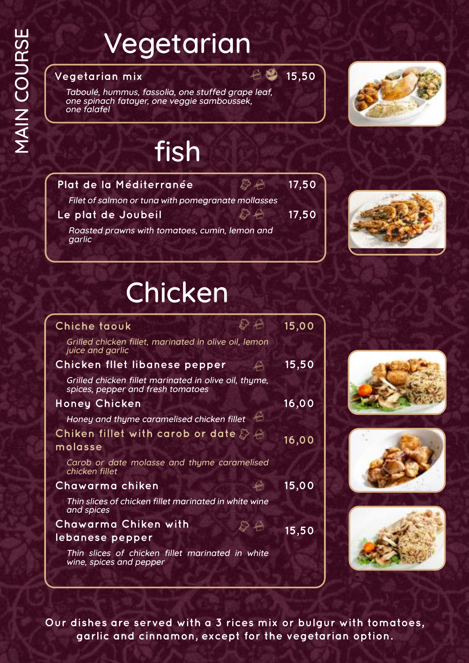## Vegetarian

#### **Vegetarian mix 15,50**

Taboulé, hummus, fassolia, one stuffed grape leaf, one spinach fatayer, one veggie samboussek, one falafel

#### fish

| 8A<br>Plat de la Méditerranée                            | 17,50 |
|----------------------------------------------------------|-------|
| Filet of salmon or tuna with pomegranate mollasses       |       |
| $\mathcal{D} \triangleq$<br>Le plat de Joubeil           | 17,50 |
| Roasted prawns with tomatoes, cumin, lemon and<br>garlic |       |





### Chicken

| Chiche taouk                                                                               | 15,00 |
|--------------------------------------------------------------------------------------------|-------|
| Grilled chicken fillet, marinated in olive oil, lemon<br>juice and garlic                  |       |
| Chicken fllet libanese pepper                                                              | 15,50 |
| Grilled chicken fillet marinated in olive oil, thyme,<br>spices, pepper and fresh tomatoes |       |
| <b>Honey Chicken</b>                                                                       | 16,00 |
| Honey and thyme caramelised chicken fillet                                                 |       |
| Chiken fillet with carob or date $\oslash$ $\div$                                          | 16,00 |
| molasse                                                                                    |       |
| Carob or date molasse and thyme caramelised<br>chicken fillet                              |       |
| Chawarma chiken                                                                            | 15,00 |
| Thin slices of chicken fillet marinated in white wine<br>and spices                        |       |
| Chawarma Chiken with                                                                       | 15,50 |
| <u>lebanese pepper</u>                                                                     |       |
| Thin slices of chicken fillet marinated in white<br>wine, spices and pepper                |       |
|                                                                                            |       |







**Our dishes are served with a 3 rices mix or bulgur with tomatoes, garlic and cinnamon, except for the vegetarian option.**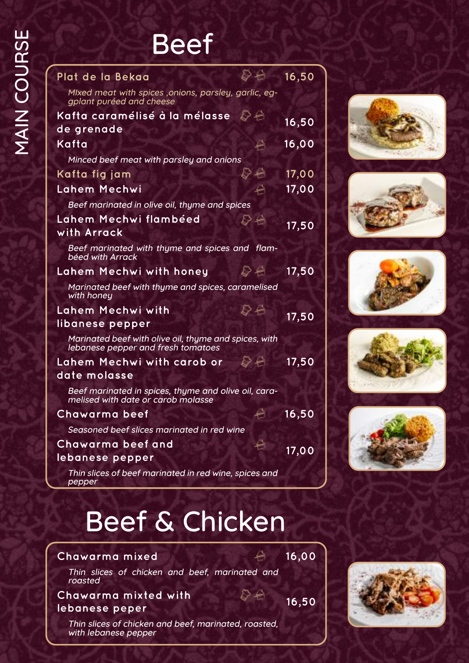#### Beef

| Plat de la Bekaa                                                                            | ひや  | 16,50 |
|---------------------------------------------------------------------------------------------|-----|-------|
| MIxed meat with spices , onions, parsley, garlic, eg-<br>gplant puréed and cheese           |     |       |
| Kafta caramélisé à la mélasse<br>de grenade                                                 | De  | 16,50 |
| Kafta                                                                                       | €   | 16,00 |
| Minced beef meat with parsley and onions                                                    |     |       |
| Kafta fig jam                                                                               | いや  | 17,00 |
| Lahem Mechwi                                                                                | €   | 17,00 |
| Beef marinated in olive oil, thyme and spices                                               |     |       |
| Lahem Mechwi flambéed                                                                       | D A | 17,50 |
| with Arrack                                                                                 |     |       |
| Beef marinated with thyme and spices and flam-<br>béed with Arrack                          |     |       |
| Lahem Mechwi with honey                                                                     | D € | 17,50 |
| Marinated beef with thyme and spices, caramelised<br>with honey                             |     |       |
| Lahem Mechwi with                                                                           |     |       |
| libanese pepper                                                                             |     | 17,50 |
| Marinated beef with olive oil, thyme and spices, with<br>lebanese pepper and fresh tomatoes |     |       |
| Lahem Mechwi with carob or                                                                  | De  | 17,50 |
| date molasse                                                                                |     |       |
| Beef marinated in spices, thyme and olive oil, cara-<br>melised with date or carob molasse  |     |       |
| Chawarma beef                                                                               |     | 16,50 |
| Seasoned beef slices marinated in red wine                                                  |     |       |
| Chawarma beef and                                                                           |     | 17,00 |
| <u>lebanese pepper</u>                                                                      |     |       |
| Thin slices of beef marinated in red wine, spices and<br>pepper                             |     |       |

### Beef & Chicken

#### **Chawarma mixed 16,00**

Thin slices of chicken and beef, marinated and roasted

#### **Chawarma mixted with** Chawarma mixted with  $\bigcirc$  **එ** 16,50<br><u>lebanese p</u>eper

Thin slices of chicken and beef, marinated, roasted, with lebanese pepper











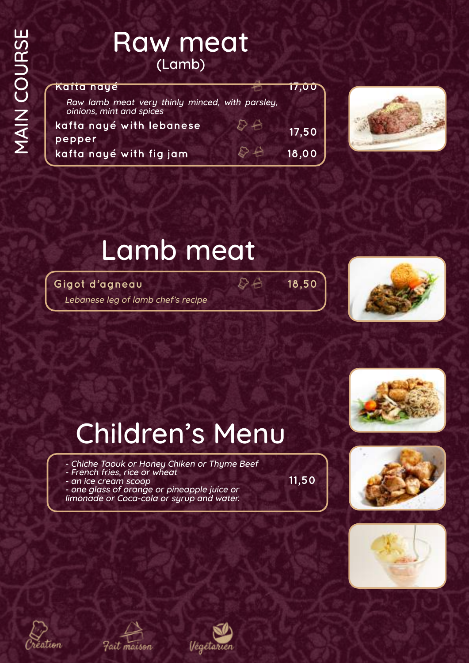#### Raw meat (Lamb)

| <b>EKATTA naye</b>                                                          | <b>17,00°</b> |
|-----------------------------------------------------------------------------|---------------|
| Raw lamb meat very thinly minced, with parsley,<br>oinions, mint and spices |               |
| kafta nayé with lebanese                                                    | 17,50         |
| pepper                                                                      |               |
| kafta nayé with fig jam                                                     | 18,00         |



#### Lamb meat

**Gigot d'agneau 18,50** Lebanese leg of lamb chef's recipe





### Children's Menu

- Chiche Taouk or Honey Chiken or Thyme Beef
- French fries, rice or wheat
- an ice cream scoop
- one glass of orange or pineapple juice or limonade or Coca-cola or syrup and water.











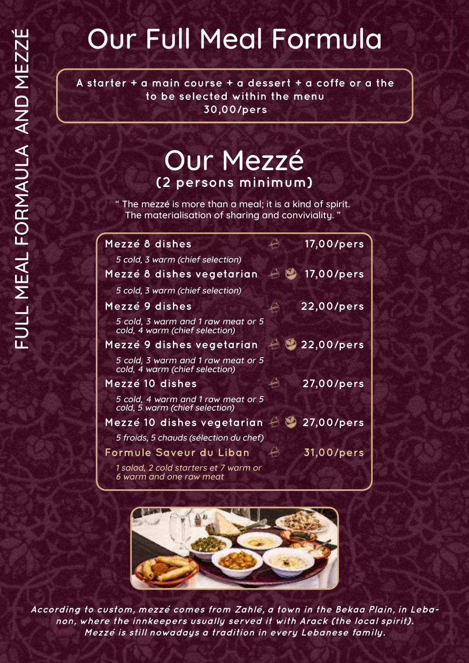### Our Full Meal Formula

**A starter + a main course + a dessert + a coffe or a the to be selected within the menu 30,00/pers**

#### Our Mezzé **(2 persons minimum)**

" The mezzé is more than a meal; it is a kind of spirit. The materialisation of sharing and conviviality. "

| Mezzé 8 dishes                                                       |    | 17,00/pers             |
|----------------------------------------------------------------------|----|------------------------|
| 5 cold, 3 warm (chief selection)                                     |    |                        |
| <u>Mezzé 8 dishes vegetarian</u>                                     | 89 | 17,00/pers             |
| 5 cold, 3 warm (chief selection)                                     |    |                        |
| Mezzé 9 dishes                                                       |    | 22,00/pers             |
| 5 cold, 3 warm and 1 raw meat or 5<br>cold, 4 warm (chief selection) |    |                        |
| Mezzé 9 dishes vegetarian                                            |    | $\triangle$ 22,00/pers |
| 5 cold, 3 warm and 1 raw meat or 5<br>cold, 4 warm (chief selection) |    |                        |
| Mezzé 10 dishes                                                      |    | 27,00/pers             |
| 5 cold, 4 warm and 1 raw meat or 5<br>cold, 5 warm (chief selection) |    |                        |
| Mezzé 10 dishes vegetarian $\triangleq$ 27,00/pers                   |    |                        |
| 5 froids, 5 chauds (sélection du chef)                               |    |                        |
| Formule Saveur du Liban                                              |    | 31,00/pers             |
| 1 salad, 2 cold starters et 7 warm or<br>6 warm and one raw meat     |    |                        |



**According to custom, mezzé comes from Zahlé, a town in the Bekaa Plain, in Lebanon, where the innkeepers usually served it with Arack (the local spirit). Mezzé is still nowadays a tradition in every Lebanese family.**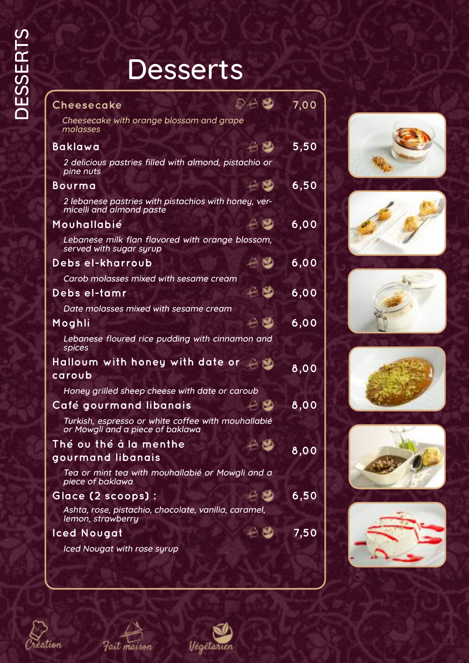#### Desserts

| Cheesecake                                                                             | 88 년        | 7,00 |
|----------------------------------------------------------------------------------------|-------------|------|
| Cheesecake with orange blossom and grape<br>molasses                                   |             |      |
| Baklawa                                                                                | 合画          | 5,50 |
| 2 delicious pastries filled with almond, pistachio or<br>pine nuts                     |             |      |
| Bourma                                                                                 | 合學          | 6,50 |
| 2 lebanese pastries with pistachios with honey, ver-<br>micelli and almond paste       |             |      |
| Mouhallabié                                                                            | 48          | 6,00 |
| Lebanese milk flan flavored with orange blossom,<br>served with sugar syrup            |             |      |
| Debs el-kharroub                                                                       | 48          | 6,00 |
| Carob molasses mixed with sesame cream                                                 |             |      |
| Debs el-tamr                                                                           | 48          | 6,00 |
| Date molasses mixed with sesame cream                                                  |             |      |
| Moghli                                                                                 | 48          | 6,00 |
| Lebanese floured rice pudding with cinnamon and<br>spices                              |             |      |
| Halloum with honey with date or $\Box$                                                 |             | 8,00 |
| caroub                                                                                 |             |      |
| Honey grilled sheep cheese with date or caroub                                         |             |      |
| Café gourmand libanais                                                                 | r.          | 8,00 |
| Turkish, espresso or white coffee with mouhallabié<br>or Mowgli and a piece of baklawa |             |      |
| <u>Thể ou thé à la menthe</u>                                                          | $A \bullet$ | 8,00 |
| gourmand libanais                                                                      |             |      |
| Tea or mint tea with mouhallabié or Mowgli and a<br>piece of baklawa                   |             |      |
| Glace (2 scoops):                                                                      | Y           | 6,50 |
| Ashta, rose, pistachio, chocolate, vanilia, caramel,<br>lemon, strawberry              |             |      |
| <b>Iced Nougat</b>                                                                     |             | 7,50 |
| <b>Iced Nougat with rose syrup</b>                                                     |             |      |
|                                                                                        |             |      |

















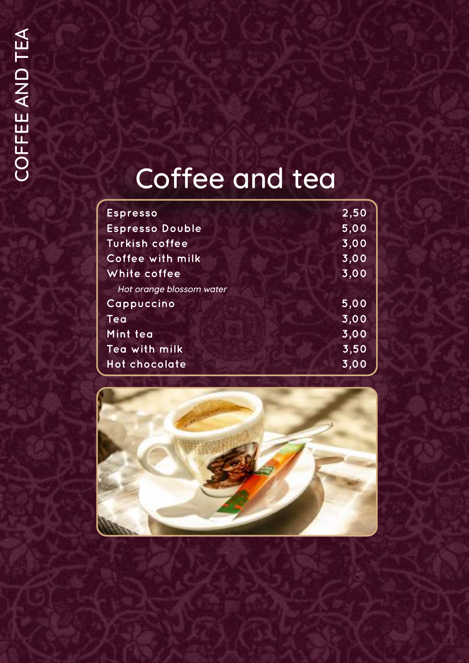### Coffee and tea

| <b>Espresso</b>          | 2,50 |
|--------------------------|------|
| <b>Espresso Double</b>   | 5,00 |
| <b>Turkish coffee</b>    | 3,00 |
| Coffee with milk         | 3,00 |
| White coffee             | 3,00 |
| Hot orange blossom water |      |
| Cappuccino               | 5,00 |
| Tea                      | 3,00 |
| Mint tea                 | 3,00 |
| Tea with milk            | 3,50 |
| Hot chocolate            | 3,00 |

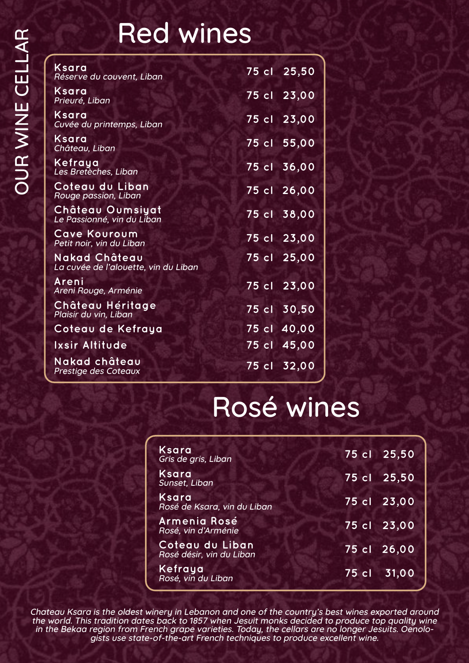#### Red wines

| Ksara<br>Réserve du couvent, Liban                    | 75 cl 25,50 |
|-------------------------------------------------------|-------------|
| Ksara<br>Prieuré, Liban                               | 75 cl 23,00 |
| Ksara<br>Cuvée du printemps, Liban                    | 75 cl 23,00 |
| Ksara<br>Château, Liban                               | 75 cl 55,00 |
| Kefraya<br>Les Bretèches, Liban                       | 75 cl 36,00 |
| Coteau du Liban<br>Rouge passion, Liban               | 75 cl 26,00 |
| Château Oumsiyat<br>Le Passionné, vin du Liban        | 75 cl 38,00 |
| Cave Kouroum<br>Petit noir, vin du Liban              | 75 cl 23,00 |
| Nakad Château<br>La cuvée de l'alouette, vin du Liban | 75 cl 25,00 |
| Areni<br>Areni Rouge, Arménie                         | 75 cl 23,00 |
| Château Héritage<br>Plaisir du vin, Liban             | 75 cl 30,50 |
| Coteau de Kefraya                                     | 75 cl 40,00 |
| Ixsir Altitude                                        | 75 cl 45,00 |
| Nakad château<br>Prestige des Coteaux                 | 75 cl 32,00 |

#### Rosé wines

| Ksara<br>Gris de gris, Liban                | 75 cl 25,50 |
|---------------------------------------------|-------------|
| Ksara<br>Sunset, Liban                      | 75 cl 25,50 |
| Ksara<br>Rosé de Ksara, vin du Liban        | 75 cl 23,00 |
| Armenia Rosé<br>Rosé, vin d'Arménie         | 75 cl 23,00 |
| Coteau du Liban<br>Rosé désir, vin du Liban | 75 cl 26,00 |
| Kefraya<br>Rosé, vin du Liban               | 75 cl 31,00 |

Chateau Ksara is the oldest winery in Lebanon and one of the country's best wines exported around the world. This tradition dates back to 1857 when Jesuit monks decided to produce top quality wine in the Bekaa region from French grape varieties. Today, the cellars are no longer Jesuits. Oenologists use state-of-the-art French techniques to produce excellent wine.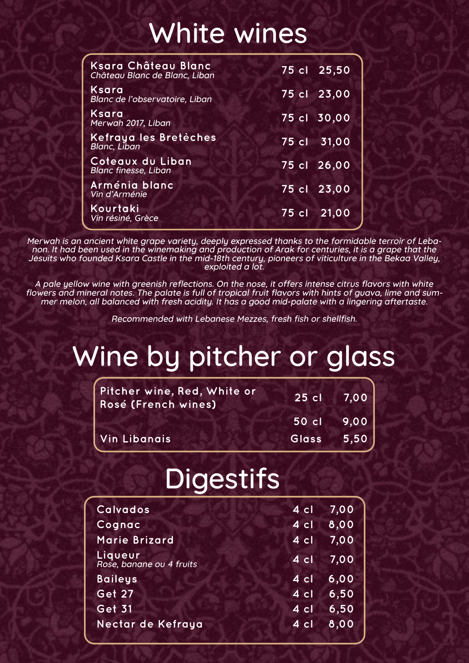#### White wines

| Ksara Château Blanc<br>Château Blanc de Blanc, Liban | 75 cl 25,50 |
|------------------------------------------------------|-------------|
| Ksara<br>Blanc de l'observatoire, Liban              | 75 cl 23,00 |
| Ksara<br>Merwah 2017, Liban                          | 75 cl 30,00 |
| Kefraya les Bretèches<br>Blanc, Liban                | 75 cl 31,00 |
| Coteaux du Liban<br><b>Blanc finesse, Liban</b>      | 75 cl 26,00 |
| Arménia blanc<br>Vin d'Arménie                       | 75 cl 23,00 |
| Kourtaki<br>Vin résiné, Grèce                        | 75 cl 21,00 |

Merwah is an ancient white grape variety, deeply expressed thanks to the formidable terroir of Lebanon. It had been used in the winemaking and production of Arak for centuries, it is a grape that the Jesuits who founded Ksara Castle in the mid-18th century, pioneers of viticulture in the Bekaa Valley, exploited a lot.

A pale yellow wine with greenish reflections. On the nose, it offers intense citrus flavors with white flowers and mineral notes. The palate is full of tropical fruit flavors with hints of guava, lime and summer melon, all balanced with fresh acidity. It has a good mid-palate with a lingering aftertaste.

Recommended with Lebanese Mezzes, fresh fish or shellfish.

### Wine by pitcher or glass

| Pitcher wine, Red, White or<br>Rosé (French wines) | 25 cl 7,00 |  |
|----------------------------------------------------|------------|--|
|                                                    | 50 cl 9.00 |  |
| <b>Vin Libanais</b>                                | Glass 5,50 |  |

#### **Digestifs**

| <b>Calvados</b>                     | $4$ cl | 7,00 |
|-------------------------------------|--------|------|
| Cognac                              | $4$ cl | 8,00 |
| <b>Marie Brizard</b>                | $4$ cl | 7,00 |
| Liqueur<br>Rose, banane ou 4 fruits | $4$ cl | 7,00 |
| <b>Baileys</b>                      | $4$ cl | 6,00 |
| <b>Get 27</b>                       | $4$ cl | 6,50 |
| <b>Get 31</b>                       | $4$ cl | 6,50 |
| Nectar de Kefraya                   | $4$ cl | 8,00 |
|                                     |        |      |